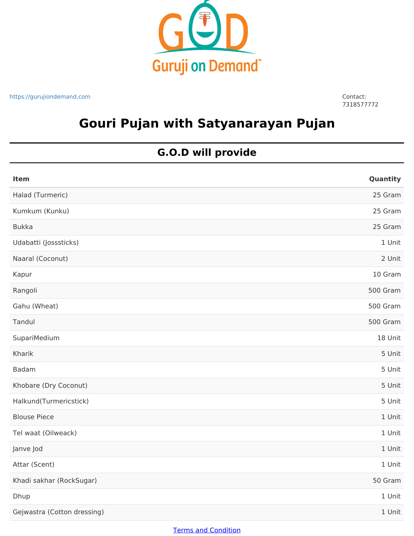

https://gurujiondemand.com Contact:

7318577772

# **Gouri Pujan with Satyanarayan Pujan**

## **G.O.D will provide**

| Item                        | Quantity |
|-----------------------------|----------|
| Halad (Turmeric)            | 25 Gram  |
| Kumkum (Kunku)              | 25 Gram  |
| <b>Bukka</b>                | 25 Gram  |
| Udabatti (Josssticks)       | 1 Unit   |
| Naaral (Coconut)            | 2 Unit   |
| Kapur                       | 10 Gram  |
| Rangoli                     | 500 Gram |
| Gahu (Wheat)                | 500 Gram |
| Tandul                      | 500 Gram |
| SupariMedium                | 18 Unit  |
| Kharik                      | 5 Unit   |
| Badam                       | 5 Unit   |
| Khobare (Dry Coconut)       | 5 Unit   |
| Halkund(Turmericstick)      | 5 Unit   |
| <b>Blouse Piece</b>         | 1 Unit   |
| Tel waat (Oilweack)         | 1 Unit   |
| Janve Jod                   | 1 Unit   |
| Attar (Scent)               | 1 Unit   |
| Khadi sakhar (RockSugar)    | 50 Gram  |
| Dhup                        | 1 Unit   |
| Gejwastra (Cotton dressing) | 1 Unit   |

### Terms and Condition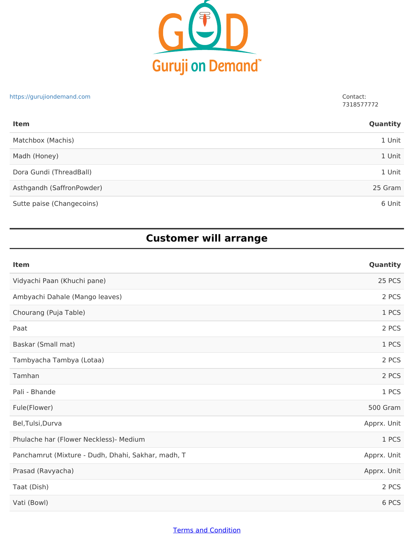

#### https://gurujiondemand.com Contact:

7318577772

| <b>Item</b>               | Quantity |
|---------------------------|----------|
| Matchbox (Machis)         | 1 Unit   |
| Madh (Honey)              | 1 Unit   |
| Dora Gundi (ThreadBall)   | 1 Unit   |
| Asthgandh (SaffronPowder) | 25 Gram  |
| Sutte paise (Changecoins) | 6 Unit   |

## **Customer will arrange**

| Item                                               | Quantity    |
|----------------------------------------------------|-------------|
| Vidyachi Paan (Khuchi pane)                        | 25 PCS      |
| Ambyachi Dahale (Mango leaves)                     | 2 PCS       |
| Chourang (Puja Table)                              | 1 PCS       |
| Paat                                               | 2 PCS       |
| Baskar (Small mat)                                 | 1 PCS       |
| Tambyacha Tambya (Lotaa)                           | 2 PCS       |
| Tamhan                                             | 2 PCS       |
| Pali - Bhande                                      | 1 PCS       |
| Fule(Flower)                                       | 500 Gram    |
| Bel, Tulsi, Durva                                  | Apprx. Unit |
| Phulache har (Flower Neckless)- Medium             | 1 PCS       |
| Panchamrut (Mixture - Dudh, Dhahi, Sakhar, madh, T | Apprx. Unit |
| Prasad (Ravyacha)                                  | Apprx. Unit |
| Taat (Dish)                                        | 2 PCS       |
| Vati (Bowl)                                        | 6 PCS       |

### Terms and Condition